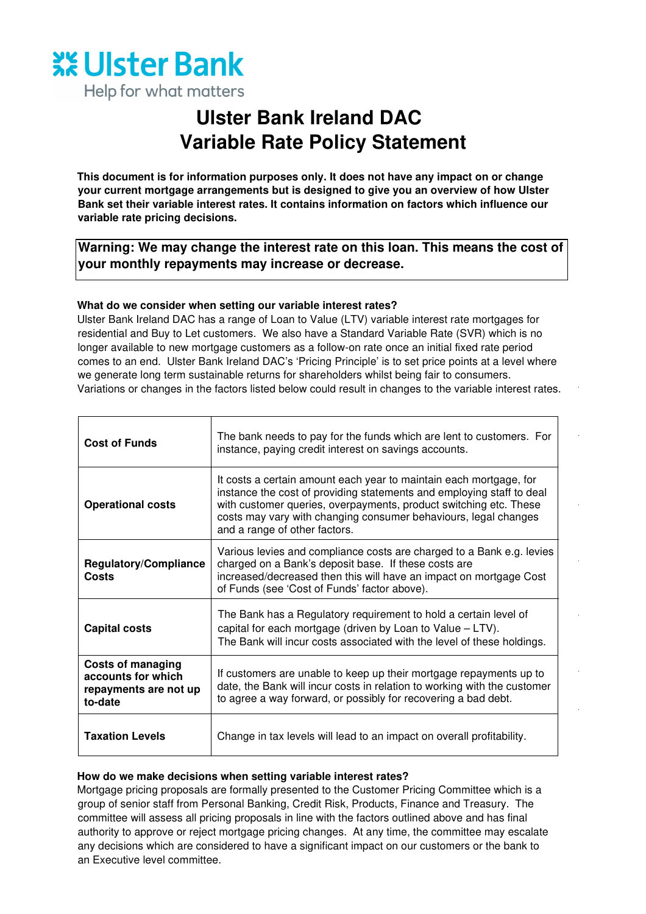

Help for what matters

# **Ulster Bank Ireland DAC Variable Rate Policy Statement**

**This document is for information purposes only. It does not have any impact on or change your current mortgage arrangements but is designed to give you an overview of how Ulster Bank set their variable interest rates. It contains information on factors which influence our variable rate pricing decisions.** 

**Warning: We may change the interest rate on this loan. This means the cost of your monthly repayments may increase or decrease.**

# **What do we consider when setting our variable interest rates?**

Ulster Bank Ireland DAC has a range of Loan to Value (LTV) variable interest rate mortgages for residential and Buy to Let customers. We also have a Standard Variable Rate (SVR) which is no longer available to new mortgage customers as a follow-on rate once an initial fixed rate period comes to an end. Ulster Bank Ireland DAC's 'Pricing Principle' is to set price points at a level where we generate long term sustainable returns for shareholders whilst being fair to consumers. Variations or changes in the factors listed below could result in changes to the variable interest rates.

| <b>Cost of Funds</b>                                                               | The bank needs to pay for the funds which are lent to customers. For<br>instance, paying credit interest on savings accounts.                                                                                                                                                                                        |  |
|------------------------------------------------------------------------------------|----------------------------------------------------------------------------------------------------------------------------------------------------------------------------------------------------------------------------------------------------------------------------------------------------------------------|--|
| <b>Operational costs</b>                                                           | It costs a certain amount each year to maintain each mortgage, for<br>instance the cost of providing statements and employing staff to deal<br>with customer queries, overpayments, product switching etc. These<br>costs may vary with changing consumer behaviours, legal changes<br>and a range of other factors. |  |
| Regulatory/Compliance<br>Costs                                                     | Various levies and compliance costs are charged to a Bank e.g. levies<br>charged on a Bank's deposit base. If these costs are<br>increased/decreased then this will have an impact on mortgage Cost<br>of Funds (see 'Cost of Funds' factor above).                                                                  |  |
| <b>Capital costs</b>                                                               | The Bank has a Regulatory requirement to hold a certain level of<br>capital for each mortgage (driven by Loan to Value - LTV).<br>The Bank will incur costs associated with the level of these holdings.                                                                                                             |  |
| <b>Costs of managing</b><br>accounts for which<br>repayments are not up<br>to-date | If customers are unable to keep up their mortgage repayments up to<br>date, the Bank will incur costs in relation to working with the customer<br>to agree a way forward, or possibly for recovering a bad debt.                                                                                                     |  |
| <b>Taxation Levels</b>                                                             | Change in tax levels will lead to an impact on overall profitability.                                                                                                                                                                                                                                                |  |

### **How do we make decisions when setting variable interest rates?**

Mortgage pricing proposals are formally presented to the Customer Pricing Committee which is a group of senior staff from Personal Banking, Credit Risk, Products, Finance and Treasury. The committee will assess all pricing proposals in line with the factors outlined above and has final authority to approve or reject mortgage pricing changes. At any time, the committee may escalate any decisions which are considered to have a significant impact on our customers or the bank to an Executive level committee.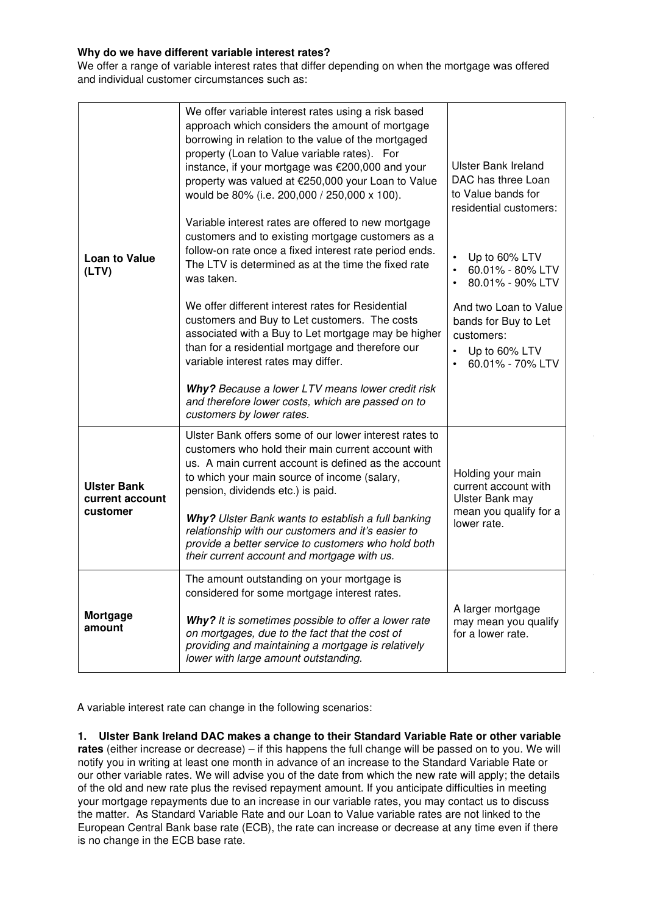## **Why do we have different variable interest rates?**

We offer a range of variable interest rates that differ depending on when the mortgage was offered and individual customer circumstances such as:

| <b>Loan to Value</b><br>(LTV)                     | We offer variable interest rates using a risk based<br>approach which considers the amount of mortgage<br>borrowing in relation to the value of the mortgaged<br>property (Loan to Value variable rates). For<br>instance, if your mortgage was €200,000 and your<br>property was valued at €250,000 your Loan to Value<br>would be 80% (i.e. 200,000 / 250,000 x 100).<br>Variable interest rates are offered to new mortgage<br>customers and to existing mortgage customers as a<br>follow-on rate once a fixed interest rate period ends.<br>The LTV is determined as at the time the fixed rate<br>was taken.<br>We offer different interest rates for Residential<br>customers and Buy to Let customers. The costs<br>associated with a Buy to Let mortgage may be higher<br>than for a residential mortgage and therefore our<br>variable interest rates may differ.<br>Why? Because a lower LTV means lower credit risk<br>and therefore lower costs, which are passed on to<br>customers by lower rates. | <b>Ulster Bank Ireland</b><br>DAC has three Loan<br>to Value bands for<br>residential customers:<br>Up to 60% LTV<br>60.01% - 80% LTV<br>$\bullet$<br>80.01% - 90% LTV<br>And two Loan to Value<br>bands for Buy to Let<br>customers:<br>Up to 60% LTV<br>60.01% - 70% LTV<br>$\bullet$ |
|---------------------------------------------------|-------------------------------------------------------------------------------------------------------------------------------------------------------------------------------------------------------------------------------------------------------------------------------------------------------------------------------------------------------------------------------------------------------------------------------------------------------------------------------------------------------------------------------------------------------------------------------------------------------------------------------------------------------------------------------------------------------------------------------------------------------------------------------------------------------------------------------------------------------------------------------------------------------------------------------------------------------------------------------------------------------------------|-----------------------------------------------------------------------------------------------------------------------------------------------------------------------------------------------------------------------------------------------------------------------------------------|
| <b>Ulster Bank</b><br>current account<br>customer | Ulster Bank offers some of our lower interest rates to<br>customers who hold their main current account with<br>us. A main current account is defined as the account<br>to which your main source of income (salary,<br>pension, dividends etc.) is paid.<br>Why? Ulster Bank wants to establish a full banking<br>relationship with our customers and it's easier to<br>provide a better service to customers who hold both<br>their current account and mortgage with us.                                                                                                                                                                                                                                                                                                                                                                                                                                                                                                                                       | Holding your main<br>current account with<br>Ulster Bank may<br>mean you qualify for a<br>lower rate.                                                                                                                                                                                   |
| Mortgage<br>amount                                | The amount outstanding on your mortgage is<br>considered for some mortgage interest rates.<br>Why? It is sometimes possible to offer a lower rate<br>on mortgages, due to the fact that the cost of<br>providing and maintaining a mortgage is relatively<br>lower with large amount outstanding.                                                                                                                                                                                                                                                                                                                                                                                                                                                                                                                                                                                                                                                                                                                 | A larger mortgage<br>may mean you qualify<br>for a lower rate.                                                                                                                                                                                                                          |

A variable interest rate can change in the following scenarios:

**1. Ulster Bank Ireland DAC makes a change to their Standard Variable Rate or other variable rates** (either increase or decrease) – if this happens the full change will be passed on to you. We will notify you in writing at least one month in advance of an increase to the Standard Variable Rate or our other variable rates. We will advise you of the date from which the new rate will apply; the details of the old and new rate plus the revised repayment amount. If you anticipate difficulties in meeting your mortgage repayments due to an increase in our variable rates, you may contact us to discuss the matter. As Standard Variable Rate and our Loan to Value variable rates are not linked to the European Central Bank base rate (ECB), the rate can increase or decrease at any time even if there is no change in the ECB base rate.